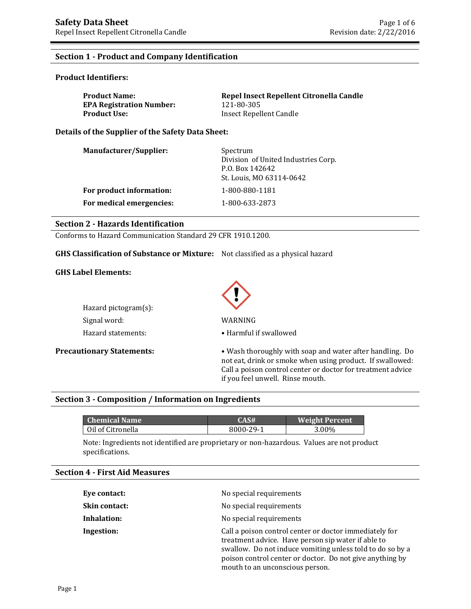## **Section 1 - Product and Company Identification**

#### **Product Identifiers:**

| <b>Product Name:</b>            | Repel Insect Repellent Citronella Candle |
|---------------------------------|------------------------------------------|
| <b>EPA Registration Number:</b> | 121-80-305                               |
| <b>Product Use:</b>             | Insect Repellent Candle                  |

**Details of the Supplier of the Safety Data Sheet:**

| <b>Manufacturer/Supplier:</b> | Spectrum<br>Division of United Industries Corp.<br>P.O. Box 142642<br>St. Louis, MO 63114-0642 |
|-------------------------------|------------------------------------------------------------------------------------------------|
| For product information:      | 1-800-880-1181                                                                                 |
| For medical emergencies:      | 1-800-633-2873                                                                                 |

### **Section 2 - Hazards Identification**

Conforms to Hazard Communication Standard 29 CFR 1910.1200.

## **GHS Classification of Substance or Mixture:** Not classified as a physical hazard

#### **GHS Label Elements:**

| Hazard pictogram $(s)$ : |                        |  |  |
|--------------------------|------------------------|--|--|
| Signal word:             | WARNING                |  |  |
| Hazard statements:       | • Harmful if swallowed |  |  |



**Precautionary Statements:** • Wash thoroughly with soap and water after handling. Do not eat, drink or smoke when using product. If swallowed: Call a poison control center or doctor for treatment advice if you feel unwell. Rinse mouth.

## **Section 3 - Composition / Information on Ingredients**

| Chemical Name !   | CAS#      | <b>Weight Percent</b> |
|-------------------|-----------|-----------------------|
| Oil of Citronella | 8000-29-1 | 3.00%                 |

Note: Ingredients not identified are proprietary or non-hazardous. Values are not product specifications.

#### **Section 4 - First Aid Measures**

| Eye contact:         | No special requirements                                                                                                                                                                                                                                                  |
|----------------------|--------------------------------------------------------------------------------------------------------------------------------------------------------------------------------------------------------------------------------------------------------------------------|
| <b>Skin contact:</b> | No special requirements                                                                                                                                                                                                                                                  |
| Inhalation:          | No special requirements                                                                                                                                                                                                                                                  |
| Ingestion:           | Call a poison control center or doctor immediately for<br>treatment advice. Have person sip water if able to<br>swallow. Do not induce vomiting unless told to do so by a<br>poison control center or doctor. Do not give anything by<br>mouth to an unconscious person. |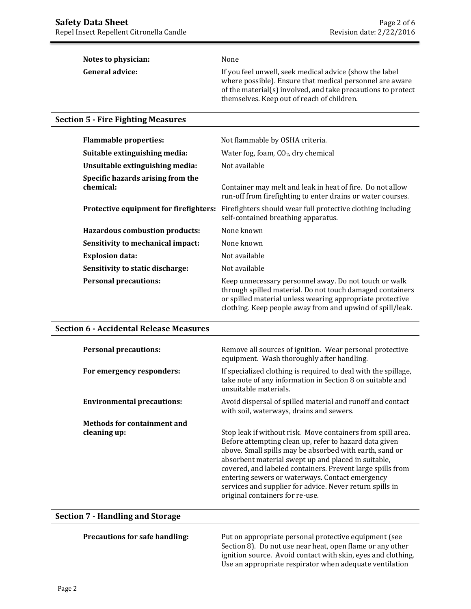| Notes to physician:    | None                                                                                                                                                                                                                               |
|------------------------|------------------------------------------------------------------------------------------------------------------------------------------------------------------------------------------------------------------------------------|
| <b>General advice:</b> | If you feel unwell, seek medical advice (show the label)<br>where possible). Ensure that medical personnel are aware<br>of the material(s) involved, and take precautions to protect<br>themselves. Keep out of reach of children. |

### **Section 5 - Fire Fighting Measures**

| <b>Flammable properties:</b>                   | Not flammable by OSHA criteria.                                                                                                                                                                                                              |
|------------------------------------------------|----------------------------------------------------------------------------------------------------------------------------------------------------------------------------------------------------------------------------------------------|
| Suitable extinguishing media:                  | Water fog, foam, $CO2$ , dry chemical                                                                                                                                                                                                        |
| Unsuitable extinguishing media:                | Not available                                                                                                                                                                                                                                |
| Specific hazards arising from the<br>chemical: | Container may melt and leak in heat of fire. Do not allow<br>run-off from firefighting to enter drains or water courses.                                                                                                                     |
| Protective equipment for firefighters:         | Firefighters should wear full protective clothing including<br>self-contained breathing apparatus.                                                                                                                                           |
| Hazardous combustion products:                 | None known                                                                                                                                                                                                                                   |
| Sensitivity to mechanical impact:              | None known                                                                                                                                                                                                                                   |
| <b>Explosion data:</b>                         | Not available                                                                                                                                                                                                                                |
| Sensitivity to static discharge:               | Not available                                                                                                                                                                                                                                |
| <b>Personal precautions:</b>                   | Keep unnecessary personnel away. Do not touch or walk<br>through spilled material. Do not touch damaged containers<br>or spilled material unless wearing appropriate protective<br>clothing. Keep people away from and upwind of spill/leak. |

#### **Section 6 - Accidental Release Measures**

| <b>Personal precautions:</b>      | Remove all sources of ignition. Wear personal protective<br>equipment. Wash thoroughly after handling.                                                                                                                                                                                                                                                                                                                                                  |
|-----------------------------------|---------------------------------------------------------------------------------------------------------------------------------------------------------------------------------------------------------------------------------------------------------------------------------------------------------------------------------------------------------------------------------------------------------------------------------------------------------|
| For emergency responders:         | If specialized clothing is required to deal with the spillage,<br>take note of any information in Section 8 on suitable and<br>unsuitable materials.                                                                                                                                                                                                                                                                                                    |
| <b>Environmental precautions:</b> | Avoid dispersal of spilled material and runoff and contact<br>with soil, waterways, drains and sewers.                                                                                                                                                                                                                                                                                                                                                  |
| Methods for containment and       |                                                                                                                                                                                                                                                                                                                                                                                                                                                         |
| cleaning up:                      | Stop leak if without risk. Move containers from spill area.<br>Before attempting clean up, refer to hazard data given<br>above. Small spills may be absorbed with earth, sand or<br>absorbent material swept up and placed in suitable,<br>covered, and labeled containers. Prevent large spills from<br>entering sewers or waterways. Contact emergency<br>services and supplier for advice. Never return spills in<br>original containers for re-use. |

## **Section 7 - Handling and Storage**

**Precautions for safe handling:** Put on appropriate personal protective equipment (see Section 8). Do not use near heat, open flame or any other ignition source. Avoid contact with skin, eyes and clothing. Use an appropriate respirator when adequate ventilation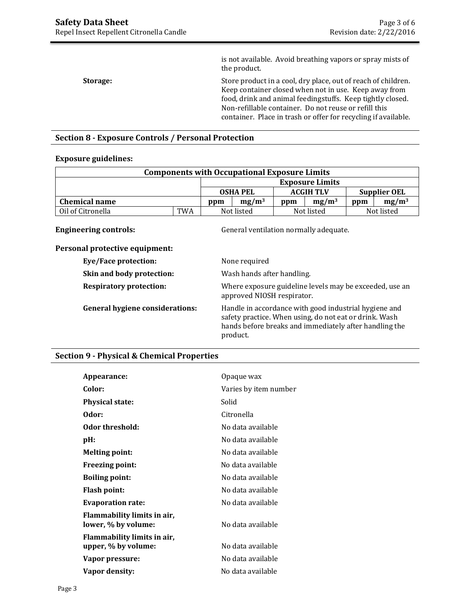is not available. Avoid breathing vapors or spray mists of the product. **Storage:** Store product in a cool, dry place, out of reach of children. Keep container closed when not in use. Keep away from food, drink and animal feedingstuffs. Keep tightly closed. Non-refillable container. Do not reuse or refill this container. Place in trash or offer for recycling if available.

## **Section 8 - Exposure Controls / Personal Protection**

#### **Exposure guidelines:**

| <b>Components with Occupational Exposure Limits</b> |     |     |                 |     |                        |     |              |
|-----------------------------------------------------|-----|-----|-----------------|-----|------------------------|-----|--------------|
|                                                     |     |     |                 |     | <b>Exposure Limits</b> |     |              |
|                                                     |     |     | <b>OSHA PEL</b> |     | <b>ACGIH TLV</b>       |     | Supplier OEL |
| <b>Chemical name</b>                                |     | ppm | $mg/m^3$        | ppm | mg/m <sup>3</sup>      | ppm | $mg/m^3$     |
| Oil of Citronella                                   | TWA |     | Not listed      |     | Not listed             |     | Not listed   |

**Engineering controls:** General ventilation normally adequate.

| Personal protective equipment: |  |
|--------------------------------|--|
|                                |  |

| None required                                                                                                                                                                         |
|---------------------------------------------------------------------------------------------------------------------------------------------------------------------------------------|
| Wash hands after handling.                                                                                                                                                            |
| Where exposure guideline levels may be exceeded, use an<br>approved NIOSH respirator.                                                                                                 |
| Handle in accordance with good industrial hygiene and<br>safety practice. When using, do not eat or drink. Wash<br>hands before breaks and immediately after handling the<br>product. |
|                                                                                                                                                                                       |

#### **Section 9 - Physical & Chemical Properties**

| Appearance:                                        | Opaque wax            |
|----------------------------------------------------|-----------------------|
| Color:                                             | Varies by item number |
| <b>Physical state:</b>                             | Solid                 |
| Odor:                                              | Citronella            |
| Odor threshold:                                    | No data available     |
| pH:                                                | No data available     |
| <b>Melting point:</b>                              | No data available     |
| <b>Freezing point:</b>                             | No data available     |
| <b>Boiling point:</b>                              | No data available     |
| <b>Flash point:</b>                                | No data available     |
| <b>Evaporation rate:</b>                           | No data available     |
| Flammability limits in air,<br>lower, % by volume: | No data available     |
| Flammability limits in air,<br>upper, % by volume: | No data available     |
| Vapor pressure:                                    | No data available     |
| Vapor density:                                     | No data available     |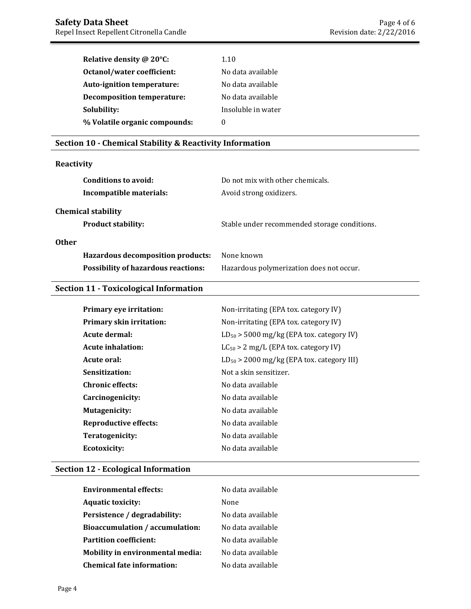| Relative density @ 20°C:          | 1.10               |
|-----------------------------------|--------------------|
| Octanol/water coefficient:        | No data available  |
| Auto-ignition temperature:        | No data available  |
| <b>Decomposition temperature:</b> | No data available  |
| Solubility:                       | Insoluble in water |
| % Volatile organic compounds:     | $\mathbf{0}$       |

# **Section 10 - Chemical Stability & Reactivity Information**

# **Reactivity**

| Conditions to avoid:<br>Incompatible materials: | Do not mix with other chemicals.<br>Avoid strong oxidizers. |
|-------------------------------------------------|-------------------------------------------------------------|
| <b>Chemical stability</b>                       |                                                             |
| <b>Product stability:</b>                       | Stable under recommended storage conditions.                |
| <b>Other</b>                                    |                                                             |
| <b>Hazardous decomposition products:</b>        | None known                                                  |
| <b>Possibility of hazardous reactions:</b>      | Hazardous polymerization does not occur.                    |

# **Section 11 - Toxicological Information**

| <b>Primary eye irritation:</b>  | Non-irritating (EPA tox. category IV)          |
|---------------------------------|------------------------------------------------|
| <b>Primary skin irritation:</b> | Non-irritating (EPA tox. category IV)          |
| Acute dermal:                   | $LD_{50}$ > 5000 mg/kg (EPA tox. category IV)  |
| Acute inhalation:               | $LC_{50}$ > 2 mg/L (EPA tox. category IV)      |
| Acute oral:                     | $LD_{50}$ > 2000 mg/kg (EPA tox. category III) |
| Sensitization:                  | Not a skin sensitizer.                         |
| <b>Chronic effects:</b>         | No data available                              |
| Carcinogenicity:                | No data available                              |
| <b>Mutagenicity:</b>            | No data available                              |
| Reproductive effects:           | No data available                              |
| Teratogenicity:                 | No data available                              |
| Ecotoxicity:                    | No data available                              |

# **Section 12 - Ecological Information**

| <b>Environmental effects:</b>           | No data available |
|-----------------------------------------|-------------------|
| <b>Aquatic toxicity:</b>                | None              |
| Persistence / degradability:            | No data available |
| <b>Bioaccumulation / accumulation:</b>  | No data available |
| <b>Partition coefficient:</b>           | No data available |
| <b>Mobility in environmental media:</b> | No data available |
| <b>Chemical fate information:</b>       | No data available |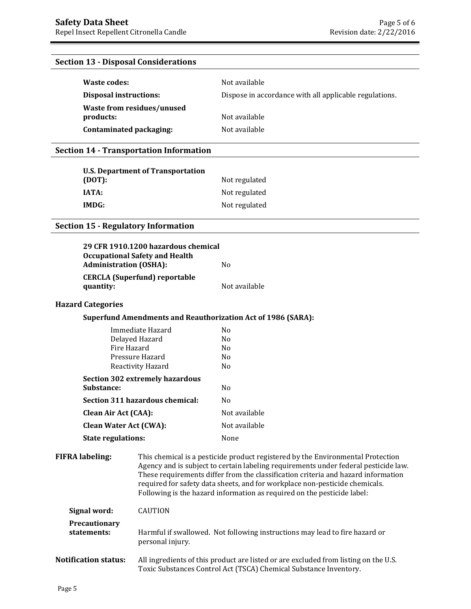# **Section 13 - Disposal Considerations**

| Waste codes:                            | Not available                                          |
|-----------------------------------------|--------------------------------------------------------|
| Disposal instructions:                  | Dispose in accordance with all applicable regulations. |
| Waste from residues/unused<br>products: | Not available                                          |
| Contaminated packaging:                 | Not available                                          |

# **Section 14 - Transportation Information**

| <b>U.S. Department of Transportation</b><br>(DOT): | Not regulated |
|----------------------------------------------------|---------------|
| <b>IATA:</b>                                       | Not regulated |
| IMDG:                                              | Not regulated |

# **Section 15 - Regulatory Information**

| <b>Administration (OSHA):</b> | 29 CFR 1910.1200 hazardous chemical<br><b>Occupational Safety and Health</b>                                                                                                                                                                                                                                                                                                                                          | N <sub>o</sub>                                                             |
|-------------------------------|-----------------------------------------------------------------------------------------------------------------------------------------------------------------------------------------------------------------------------------------------------------------------------------------------------------------------------------------------------------------------------------------------------------------------|----------------------------------------------------------------------------|
| quantity:                     | <b>CERCLA (Superfund) reportable</b>                                                                                                                                                                                                                                                                                                                                                                                  | Not available                                                              |
| <b>Hazard Categories</b>      |                                                                                                                                                                                                                                                                                                                                                                                                                       |                                                                            |
|                               |                                                                                                                                                                                                                                                                                                                                                                                                                       | <b>Superfund Amendments and Reauthorization Act of 1986 (SARA):</b>        |
| Fire Hazard                   | Immediate Hazard<br>Delayed Hazard<br>Pressure Hazard<br>Reactivity Hazard                                                                                                                                                                                                                                                                                                                                            | N <sub>o</sub><br>N <sub>0</sub><br>N <sub>0</sub><br>N <sub>0</sub><br>No |
| Substance:                    | <b>Section 302 extremely hazardous</b>                                                                                                                                                                                                                                                                                                                                                                                | N <sub>0</sub>                                                             |
|                               | Section 311 hazardous chemical:                                                                                                                                                                                                                                                                                                                                                                                       | No                                                                         |
| <b>Clean Air Act (CAA):</b>   |                                                                                                                                                                                                                                                                                                                                                                                                                       | Not available                                                              |
| <b>Clean Water Act (CWA):</b> |                                                                                                                                                                                                                                                                                                                                                                                                                       | Not available                                                              |
| <b>State regulations:</b>     |                                                                                                                                                                                                                                                                                                                                                                                                                       | None                                                                       |
| <b>FIFRA</b> labeling:        | This chemical is a pesticide product registered by the Environmental Protection<br>Agency and is subject to certain labeling requirements under federal pesticide law.<br>These requirements differ from the classification criteria and hazard information<br>required for safety data sheets, and for workplace non-pesticide chemicals.<br>Following is the hazard information as required on the pesticide label: |                                                                            |
| Signal word:                  | <b>CAUTION</b>                                                                                                                                                                                                                                                                                                                                                                                                        |                                                                            |
| Precautionary<br>statements:  | Harmful if swallowed. Not following instructions may lead to fire hazard or<br>personal injury.                                                                                                                                                                                                                                                                                                                       |                                                                            |
| <b>Notification status:</b>   | All ingredients of this product are listed or are excluded from listing on the U.S.<br>Toxic Substances Control Act (TSCA) Chemical Substance Inventory.                                                                                                                                                                                                                                                              |                                                                            |